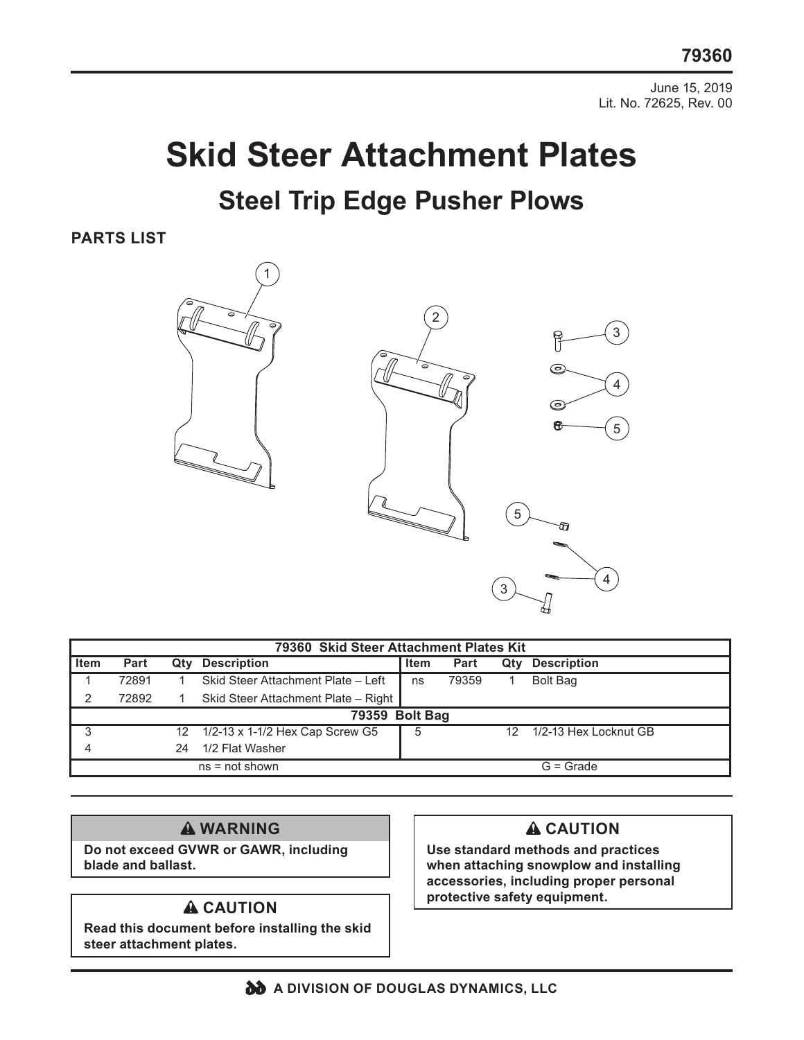June 15, 2019 Lit. No. 72625, Rev. 00

# **Skid Steer Attachment Plates Steel Trip Edge Pusher Plows**

**PARTS LIST**



| 79360 Skid Steer Attachment Plates Kit |       |                 |                                     |             |       |     |                       |
|----------------------------------------|-------|-----------------|-------------------------------------|-------------|-------|-----|-----------------------|
| <b>Item</b>                            | Part  | Qty             | <b>Description</b>                  | <b>Item</b> | Part  | Qtv | <b>Description</b>    |
|                                        | 72891 |                 | Skid Steer Attachment Plate - Left  | ns          | 79359 |     | <b>Bolt Bag</b>       |
|                                        | 72892 |                 | Skid Steer Attachment Plate - Right |             |       |     |                       |
| 79359 Bolt Bag                         |       |                 |                                     |             |       |     |                       |
| 3                                      |       | 12 <sup>°</sup> | 1/2-13 x 1-1/2 Hex Cap Screw G5     | 5           |       | 12. | 1/2-13 Hex Locknut GB |
|                                        |       | 24              | 1/2 Flat Washer                     |             |       |     |                       |
| $ns = not shown$                       |       |                 |                                     | $G =$ Grade |       |     |                       |

## **WARNING**

**Do not exceed GVWR or GAWR, including blade and ballast.** 

**Read this document before installing the skid steer attachment plates.**

#### **A** CAUTION

**Use standard methods and practices when attaching snowplow and installing accessories, including proper personal A CAUTION** protective safety equipment.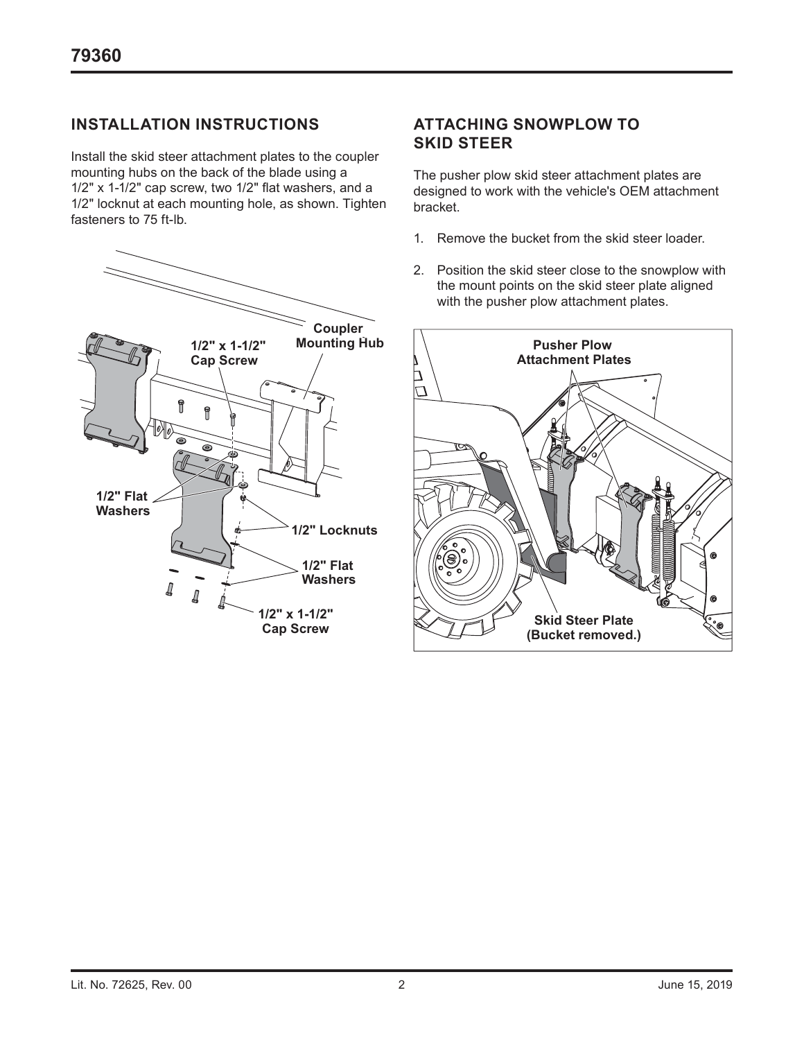### **INSTALLATION INSTRUCTIONS**

Install the skid steer attachment plates to the coupler mounting hubs on the back of the blade using a 1/2" x 1-1/2" cap screw, two 1/2" flat washers, and a 1/2" locknut at each mounting hole, as shown. Tighten fasteners to 75 ft-lb.



#### **ATTACHING SNOWPLOW TO SKID STEER**

The pusher plow skid steer attachment plates are designed to work with the vehicle's OEM attachment bracket.

- 1. Remove the bucket from the skid steer loader.
- 2. Position the skid steer close to the snowplow with the mount points on the skid steer plate aligned with the pusher plow attachment plates.

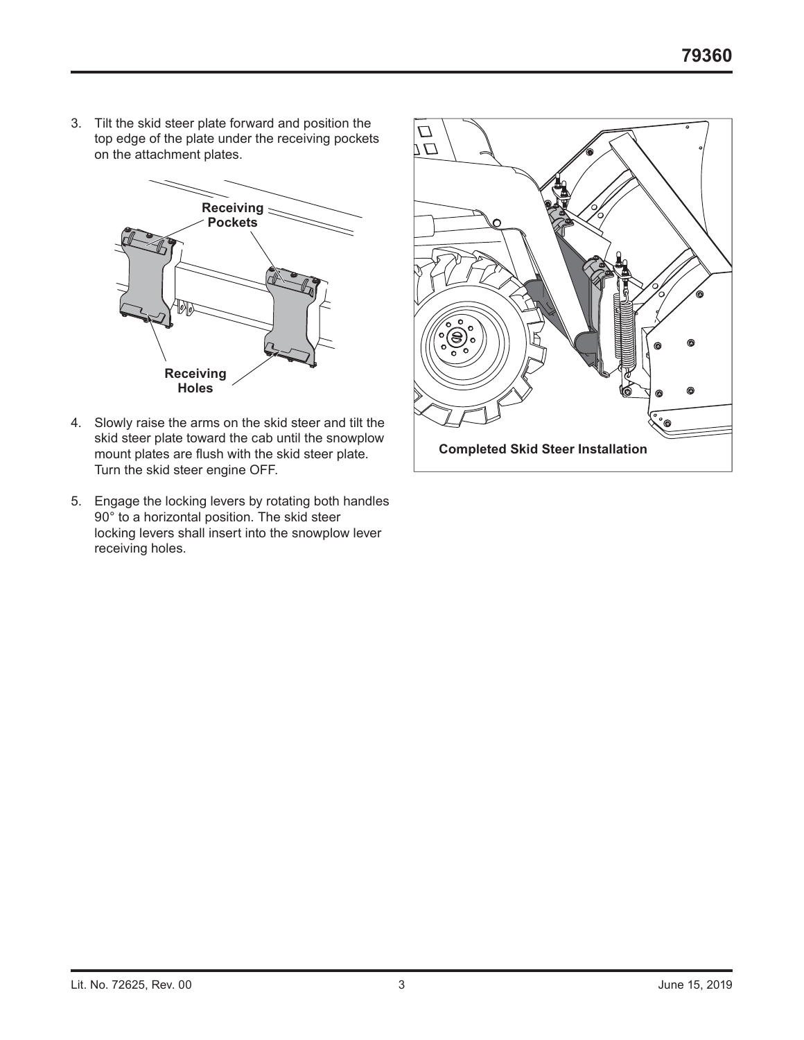3. Tilt the skid steer plate forward and position the top edge of the plate under the receiving pockets on the attachment plates.



- 4. Slowly raise the arms on the skid steer and tilt the skid steer plate toward the cab until the snowplow mount plates are flush with the skid steer plate. Turn the skid steer engine OFF.
- 5. Engage the locking levers by rotating both handles 90° to a horizontal position. The skid steer locking levers shall insert into the snowplow lever receiving holes.